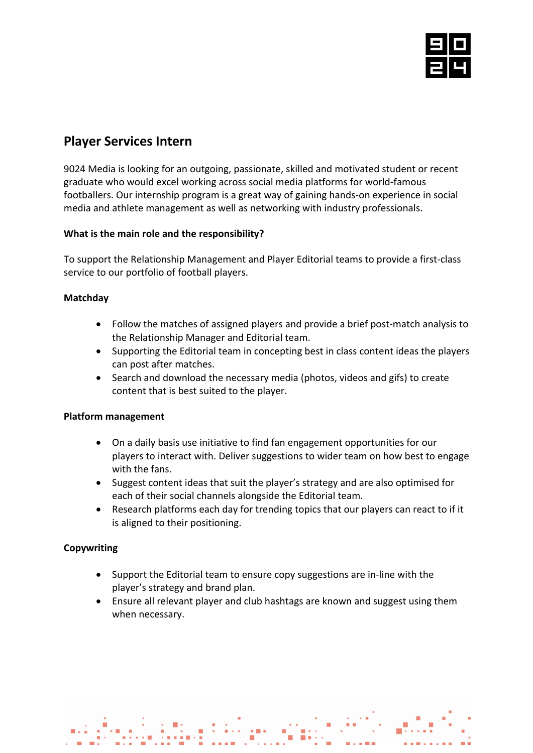

# **Player Services Intern**

9024 Media is looking for an outgoing, passionate, skilled and motivated student or recent graduate who would excel working across social media platforms for world-famous footballers. Our internship program is a great way of gaining hands-on experience in social media and athlete management as well as networking with industry professionals.

# **What is the main role and the responsibility?**

To support the Relationship Management and Player Editorial teams to provide a first-class service to our portfolio of football players.

# **Matchday**

- Follow the matches of assigned players and provide a brief post-match analysis to the Relationship Manager and Editorial team.
- Supporting the Editorial team in concepting best in class content ideas the players can post after matches.
- Search and download the necessary media (photos, videos and gifs) to create content that is best suited to the player.

# **Platform management**

- On a daily basis use initiative to find fan engagement opportunities for our players to interact with. Deliver suggestions to wider team on how best to engage with the fans.
- Suggest content ideas that suit the player's strategy and are also optimised for each of their social channels alongside the Editorial team.
- Research platforms each day for trending topics that our players can react to if it is aligned to their positioning.

# **Copywriting**

- Support the Editorial team to ensure copy suggestions are in-line with the player's strategy and brand plan.
- Ensure all relevant player and club hashtags are known and suggest using them when necessary.